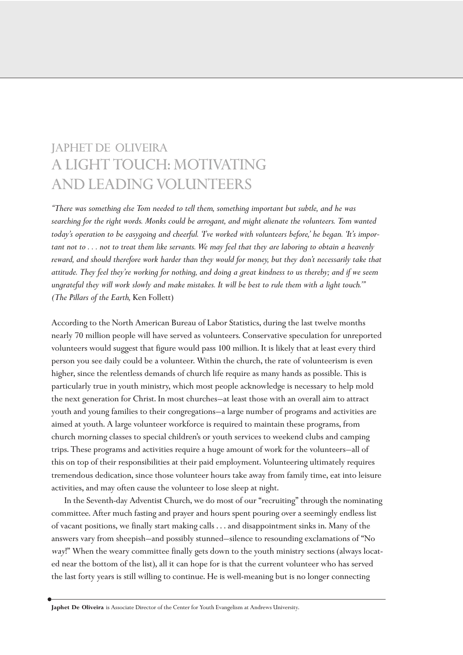# JAPHET DE OLIVEIRA A LIGHT TOUCH: MOTIVATING AND LEADING VOLUNTEERS

*"There was something else Tom needed to tell them, something important but subtle, and he was searching for the right words. Monks could be arrogant, and might alienate the volunteers. Tom wanted today's operation to be easygoing and cheerful. 'I've worked with volunteers before,' he began. 'It's important not to . . . not to treat them like servants. We may feel that they are laboring to obtain a heavenly reward, and should therefore work harder than they would for money, but they don't necessarily take that attitude. They feel they're working for nothing, and doing a great kindness to us thereby; and if we seem ungrateful they will work slowly and make mistakes. It will be best to rule them with a light touch.'" (The Pillars of the Earth,* Ken Follett)

According to the North American Bureau of Labor Statistics, during the last twelve months nearly 70 million people will have served as volunteers. Conservative speculation for unreported volunteers would suggest that figure would pass 100 million. It is likely that at least every third person you see daily could be a volunteer. Within the church, the rate of volunteerism is even higher, since the relentless demands of church life require as many hands as possible. This is particularly true in youth ministry, which most people acknowledge is necessary to help mold the next generation for Christ. In most churches—at least those with an overall aim to attract youth and young families to their congregations—a large number of programs and activities are aimed at youth. A large volunteer workforce is required to maintain these programs, from church morning classes to special children's or youth services to weekend clubs and camping trips. These programs and activities require a huge amount of work for the volunteers—all of this on top of their responsibilities at their paid employment. Volunteering ultimately requires tremendous dedication, since those volunteer hours take away from family time, eat into leisure activities, and may often cause the volunteer to lose sleep at night.

In the Seventh-day Adventist Church, we do most of our "recruiting" through the nominating committee. After much fasting and prayer and hours spent pouring over a seemingly endless list of vacant positions, we finally start making calls . . . and disappointment sinks in. Many of the answers vary from sheepish—and possibly stunned—silence to resounding exclamations of "No way!" When the weary committee finally gets down to the youth ministry sections (always located near the bottom of the list), all it can hope for is that the current volunteer who has served the last forty years is still willing to continue. He is well-meaning but is no longer connecting

**Japhet De Oliveira** is Associate Director of the Center for Youth Evangelism at Andrews University.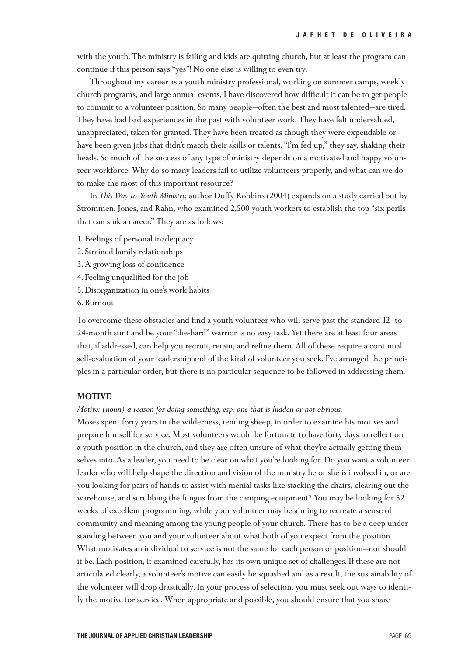with the youth. The ministry is failing and kids are quitting church, but at least the program can continue if this person says "yes"! No one else is willing to even try.

Throughout my career as a youth ministry professional, working on summer camps, weekly church programs, and large annual events, I have discovered how difficult it can be to get people to commit to a volunteer position. So many people—often the best and most talented—are tired. They have had bad experiences in the past with volunteer work. They have felt undervalued, unappreciated, taken for granted. They have been treated as though they were expendable or have been given jobs that didn't match their skills or talents. "I'm fed up," they say, shaking their heads. So much of the success of any type of ministry depends on a motivated and happy volunteer workforce. Why do so many leaders fail to utilize volunteers properly, and what can we do to make the most of this important resource?

In *This Way to Youth Ministry,* author Duffy Robbins (2004) expands on a study carried out by Strommen, Jones, and Rahn, who examined 2,500 youth workers to establish the top "six perils that can sink a career." They are as follows:

- 1. Feelings of personal inadequacy
- 2. Strained family relationships
- 3. A growing loss of confidence
- 4. Feeling unqualified for the job
- 5. Disorganization in one's work habits
- 6. Burnout

To overcome these obstacles and find a youth volunteer who will serve past the standard 12- to 24-month stint and be your "die-hard" warrior is no easy task. Yet there are at least four areas that, if addressed, can help you recruit, retain, and refine them. All of these require a continual self-evaluation of your leadership and of the kind of volunteer you seek. I've arranged the principles in a particular order, but there is no particular sequence to be followed in addressing them.

#### **MOTIVE**

## *Motive: (noun) a reason for doing something, esp. one that is hidden or not obvious.*

Moses spent forty years in the wilderness, tending sheep, in order to examine his motives and prepare himself for service. Most volunteers would be fortunate to have forty days to reflect on a youth position in the church, and they are often unsure of what they're actually getting themselves into. As a leader, you need to be clear on what you're looking for. Do you want a volunteer leader who will help shape the direction and vision of the ministry he or she is involved in, or are you looking for pairs of hands to assist with menial tasks like stacking the chairs, clearing out the warehouse, and scrubbing the fungus from the camping equipment? You may be looking for 52 weeks of excellent programming, while your volunteer may be aiming to recreate a sense of community and meaning among the young people of your church. There has to be a deep understanding between you and your volunteer about what both of you expect from the position. What motivates an individual to service is not the same for each person or position—nor should it be. Each position, if examined carefully, has its own unique set of challenges. If these are not articulated clearly, a volunteer's motive can easily be squashed and as a result, the sustainability of the volunteer will drop drastically. In your process of selection, you must seek out ways to identify the motive for service. When appropriate and possible, you should ensure that you share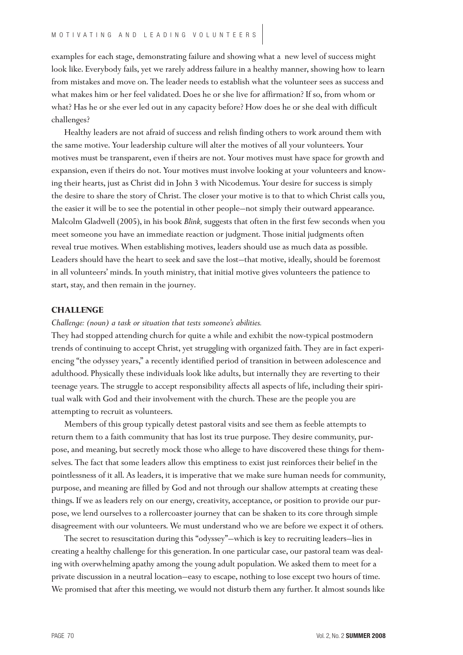examples for each stage, demonstrating failure and showing what a new level of success might look like. Everybody fails, yet we rarely address failure in a healthy manner, showing how to learn from mistakes and move on. The leader needs to establish what the volunteer sees as success and what makes him or her feel validated. Does he or she live for affirmation? If so, from whom or what? Has he or she ever led out in any capacity before? How does he or she deal with difficult challenges?

Healthy leaders are not afraid of success and relish finding others to work around them with the same motive. Your leadership culture will alter the motives of all your volunteers. Your motives must be transparent, even if theirs are not. Your motives must have space for growth and expansion, even if theirs do not. Your motives must involve looking at your volunteers and knowing their hearts, just as Christ did in John 3 with Nicodemus. Your desire for success is simply the desire to share the story of Christ. The closer your motive is to that to which Christ calls you, the easier it will be to see the potential in other people—not simply their outward appearance. Malcolm Gladwell (2005), in his book *Blink,* suggests that often in the first few seconds when you meet someone you have an immediate reaction or judgment. Those initial judgments often reveal true motives. When establishing motives, leaders should use as much data as possible. Leaders should have the heart to seek and save the lost—that motive, ideally, should be foremost in all volunteers' minds. In youth ministry, that initial motive gives volunteers the patience to start, stay, and then remain in the journey.

#### **CHALLENGE**

## *Challenge: (noun) a task or situation that tests someone's abilities.*

They had stopped attending church for quite a while and exhibit the now-typical postmodern trends of continuing to accept Christ, yet struggling with organized faith. They are in fact experiencing "the odyssey years," a recently identified period of transition in between adolescence and adulthood. Physically these individuals look like adults, but internally they are reverting to their teenage years. The struggle to accept responsibility affects all aspects of life, including their spiritual walk with God and their involvement with the church. These are the people you are attempting to recruit as volunteers.

Members of this group typically detest pastoral visits and see them as feeble attempts to return them to a faith community that has lost its true purpose. They desire community, purpose, and meaning, but secretly mock those who allege to have discovered these things for themselves. The fact that some leaders allow this emptiness to exist just reinforces their belief in the pointlessness of it all. As leaders, it is imperative that we make sure human needs for community, purpose, and meaning are filled by God and not through our shallow attempts at creating these things. If we as leaders rely on our energy, creativity, acceptance, or position to provide our purpose, we lend ourselves to a rollercoaster journey that can be shaken to its core through simple disagreement with our volunteers. We must understand who we are before we expect it of others.

The secret to resuscitation during this "odyssey"—which is key to recruiting leaders—lies in creating a healthy challenge for this generation. In one particular case, our pastoral team was dealing with overwhelming apathy among the young adult population. We asked them to meet for a private discussion in a neutral location—easy to escape, nothing to lose except two hours of time. We promised that after this meeting, we would not disturb them any further. It almost sounds like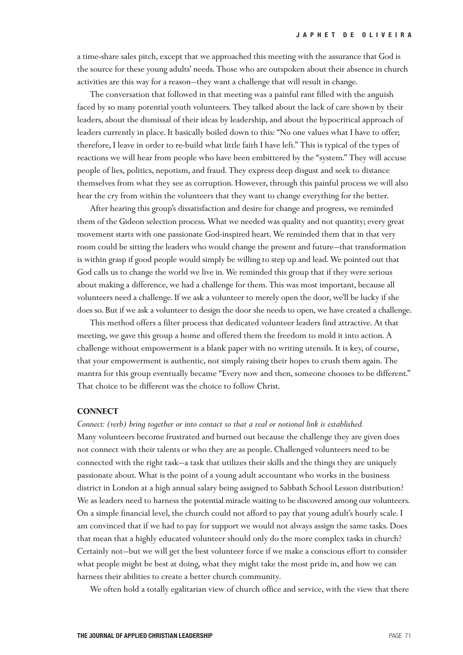a time-share sales pitch, except that we approached this meeting with the assurance that God is the source for these young adults' needs. Those who are outspoken about their absence in church activities are this way for a reason—they want a challenge that will result in change.

The conversation that followed in that meeting was a painful rant filled with the anguish faced by so many potential youth volunteers. They talked about the lack of care shown by their leaders, about the dismissal of their ideas by leadership, and about the hypocritical approach of leaders currently in place. It basically boiled down to this: "No one values what I have to offer; therefore, I leave in order to re-build what little faith I have left." This is typical of the types of reactions we will hear from people who have been embittered by the "system." They will accuse people of lies, politics, nepotism, and fraud. They express deep disgust and seek to distance themselves from what they see as corruption. However, through this painful process we will also hear the cry from within the volunteers that they want to change everything for the better.

After hearing this group's dissatisfaction and desire for change and progress, we reminded them of the Gideon selection process. What we needed was quality and not quantity; every great movement starts with one passionate God-inspired heart. We reminded them that in that very room could be sitting the leaders who would change the present and future—that transformation is within grasp if good people would simply be willing to step up and lead. We pointed out that God calls us to change the world we live in. We reminded this group that if they were serious about making a difference, we had a challenge for them. This was most important, because all volunteers need a challenge. If we ask a volunteer to merely open the door, we'll be lucky if she does so. But if we ask a volunteer to design the door she needs to open, we have created a challenge.

This method offers a filter process that dedicated volunteer leaders find attractive. At that meeting, we gave this group a home and offered them the freedom to mold it into action. A challenge without empowerment is a blank paper with no writing utensils. It is key, of course, that your empowerment is authentic, not simply raising their hopes to crush them again. The mantra for this group eventually became "Every now and then, someone chooses to be different." That choice to be different was the choice to follow Christ.

## **CONNECT**

*Connect: (verb) bring together or into contact so that a real or notional link is established.*  Many volunteers become frustrated and burned out because the challenge they are given does not connect with their talents or who they are as people. Challenged volunteers need to be connected with the right task—a task that utilizes their skills and the things they are uniquely passionate about. What is the point of a young adult accountant who works in the business district in London at a high annual salary being assigned to Sabbath School Lesson distribution? We as leaders need to harness the potential miracle waiting to be discovered among our volunteers. On a simple financial level, the church could not afford to pay that young adult's hourly scale. I am convinced that if we had to pay for support we would not always assign the same tasks. Does that mean that a highly educated volunteer should only do the more complex tasks in church? Certainly not—but we will get the best volunteer force if we make a conscious effort to consider what people might be best at doing, what they might take the most pride in, and how we can harness their abilities to create a better church community.

We often hold a totally egalitarian view of church office and service, with the view that there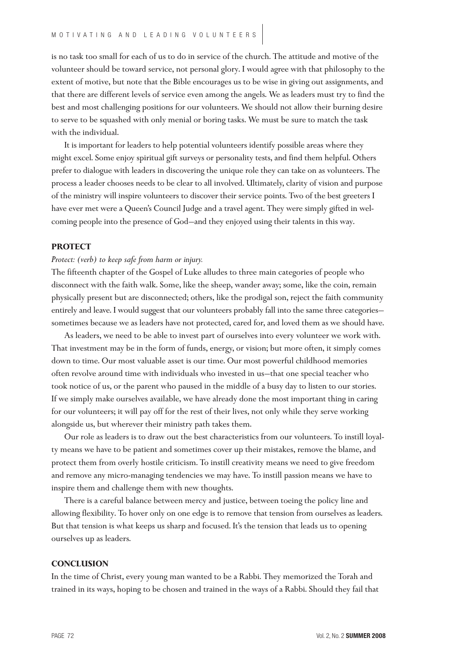is no task too small for each of us to do in service of the church. The attitude and motive of the volunteer should be toward service, not personal glory. I would agree with that philosophy to the extent of motive, but note that the Bible encourages us to be wise in giving out assignments, and that there are different levels of service even among the angels. We as leaders must try to find the best and most challenging positions for our volunteers. We should not allow their burning desire to serve to be squashed with only menial or boring tasks. We must be sure to match the task with the individual.

It is important for leaders to help potential volunteers identify possible areas where they might excel. Some enjoy spiritual gift surveys or personality tests, and find them helpful. Others prefer to dialogue with leaders in discovering the unique role they can take on as volunteers. The process a leader chooses needs to be clear to all involved. Ultimately, clarity of vision and purpose of the ministry will inspire volunteers to discover their service points. Two of the best greeters I have ever met were a Queen's Council Judge and a travel agent. They were simply gifted in welcoming people into the presence of God—and they enjoyed using their talents in this way.

## **PROTECT**

## *Protect: (verb) to keep safe from harm or injury.*

The fifteenth chapter of the Gospel of Luke alludes to three main categories of people who disconnect with the faith walk. Some, like the sheep, wander away; some, like the coin, remain physically present but are disconnected; others, like the prodigal son, reject the faith community entirely and leave. I would suggest that our volunteers probably fall into the same three categories sometimes because we as leaders have not protected, cared for, and loved them as we should have.

As leaders, we need to be able to invest part of ourselves into every volunteer we work with. That investment may be in the form of funds, energy, or vision; but more often, it simply comes down to time. Our most valuable asset is our time. Our most powerful childhood memories often revolve around time with individuals who invested in us—that one special teacher who took notice of us, or the parent who paused in the middle of a busy day to listen to our stories. If we simply make ourselves available, we have already done the most important thing in caring for our volunteers; it will pay off for the rest of their lives, not only while they serve working alongside us, but wherever their ministry path takes them.

Our role as leaders is to draw out the best characteristics from our volunteers. To instill loyalty means we have to be patient and sometimes cover up their mistakes, remove the blame, and protect them from overly hostile criticism. To instill creativity means we need to give freedom and remove any micro-managing tendencies we may have. To instill passion means we have to inspire them and challenge them with new thoughts.

There is a careful balance between mercy and justice, between toeing the policy line and allowing flexibility. To hover only on one edge is to remove that tension from ourselves as leaders. But that tension is what keeps us sharp and focused. It's the tension that leads us to opening ourselves up as leaders.

#### **CONCLUSION**

In the time of Christ, every young man wanted to be a Rabbi. They memorized the Torah and trained in its ways, hoping to be chosen and trained in the ways of a Rabbi. Should they fail that